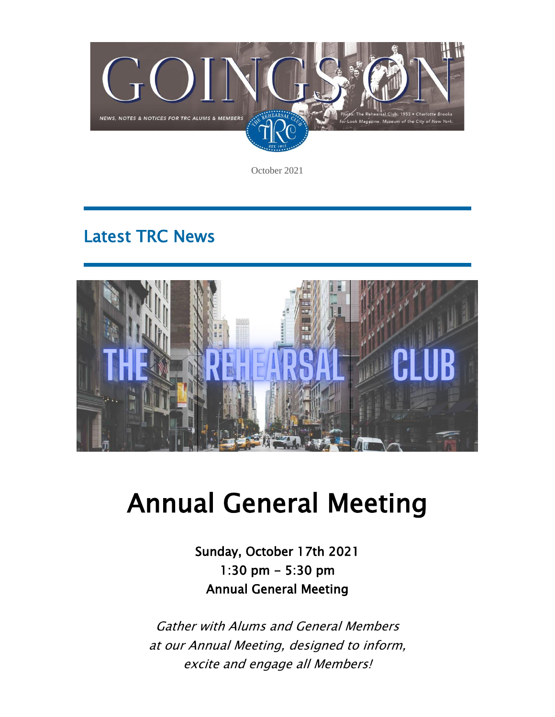

October 2021

## Latest TRC News



# Annual General Meeting

Sunday, October 17th 2021 1:30 pm - 5:30 pm Annual General Meeting

Gather with Alums and General Members at our Annual Meeting, designed to inform, excite and engage all Members!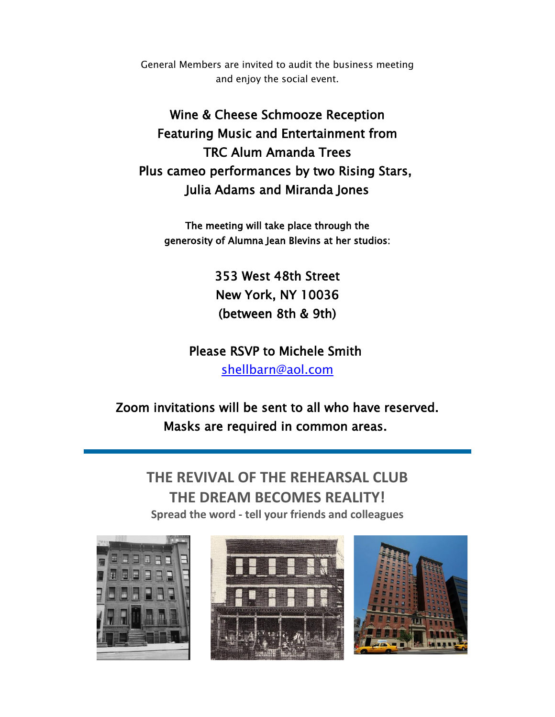General Members are invited to audit the business meeting and enjoy the social event.

Wine & Cheese Schmooze Reception Featuring Music and Entertainment from TRC Alum Amanda Trees Plus cameo performances by two Rising Stars, Julia Adams and Miranda Jones

The meeting will take place through the generosity of Alumna Jean Blevins at her studios:

> 353 West 48th Street New York, NY 10036 (between 8th & 9th)

Please RSVP to Michele Smith [shellbarn@aol.com](mailto:shellbarn@aol.com)

Zoom invitations will be sent to all who have reserved. Masks are required in common areas.

**THE REVIVAL OF THE REHEARSAL CLUB THE DREAM BECOMES REALITY! Spread the word - tell your friends and colleagues**





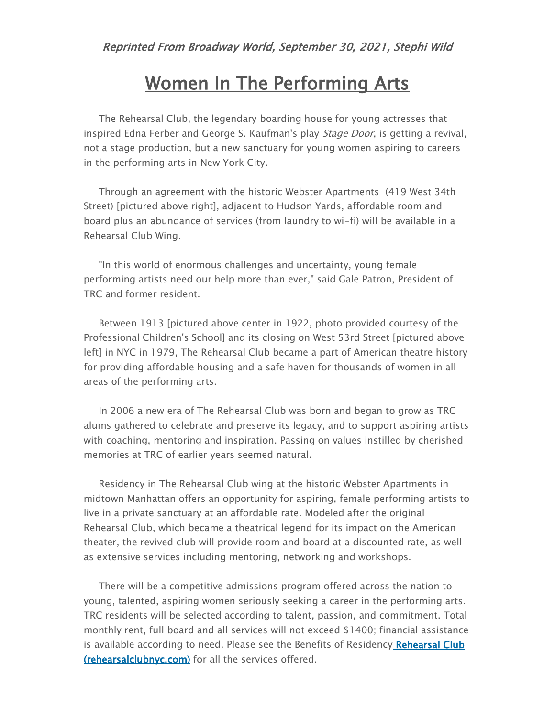## Women In The Performing Arts

The Rehearsal Club, the legendary boarding house for young actresses that inspired Edna Ferber and George S. Kaufman's play Stage Door, is getting a revival, not a stage production, but a new sanctuary for young women aspiring to careers in the performing arts in New York City.

Through an agreement with the historic Webster Apartments (419 West 34th Street) [pictured above right], adjacent to Hudson Yards, affordable room and board plus an abundance of services (from laundry to wi-fi) will be available in a Rehearsal Club Wing.

"In this world of enormous challenges and uncertainty, young female performing artists need our help more than ever," said Gale Patron, President of TRC and former resident.

Between 1913 [pictured above center in 1922, photo provided courtesy of the Professional Children's School] and its closing on West 53rd Street [pictured above left] in NYC in 1979, The Rehearsal Club became a part of American theatre history for providing affordable housing and a safe haven for thousands of women in all areas of the performing arts.

In 2006 a new era of The Rehearsal Club was born and began to grow as TRC alums gathered to celebrate and preserve its legacy, and to support aspiring artists with coaching, mentoring and inspiration. Passing on values instilled by cherished memories at TRC of earlier years seemed natural.

Residency in The Rehearsal Club wing at the historic Webster Apartments in midtown Manhattan offers an opportunity for aspiring, female performing artists to live in a private sanctuary at an affordable rate. Modeled after the original Rehearsal Club, which became a theatrical legend for its impact on the American theater, the revived club will provide room and board at a discounted rate, as well as extensive services including mentoring, networking and workshops.

There will be a competitive admissions program offered across the nation to young, talented, aspiring women seriously seeking a career in the performing arts. TRC residents will be selected according to talent, passion, and commitment. Total monthly rent, full board and all services will not exceed \$1400; financial assistance is available according to need. Please see the Benefits of Residency Rehearsal Club [\(rehearsalclubnyc.com\)](http://em.networkforgood.com/ls/click?upn=VAGGw4zHikj3d-2F5242H3ZsYdzuImz4YAJ1GxWONp2TRNFhRy7V7-2BXSKgv6Ll0h4aIGHo_mVgFLr7YN-2FKDVqGhILtkQY9fXF2OyRftV4uiTXV7NCFmx397hqVIaghoWdDojcNgBkJaEYH7jL7XGr3-2B1pUQa7z-2FJPWO36JAqHgg0xrSQzUixbllTb5Y3AjHOCE-2Ftc5jAWIGNT9zBq0KmHQALlc-2FsM6jMnQnZj3xS2ZEsKTj-2FLZSOYlXUjfMhdls4f4p7YmDixvlFuANz0RIrvn8rEo4Za9FbBumLNFns062vFrnigM51mVkVGbFG1gWj0VxZhN119ZId92UQCAJz8Ze-2FBxD80rr3sHXSPL8kwyR-2FSuC7yM8HVGzobPQ2Eq-2Bp4RGRXy-2Fjaa04i2w1cBmlDyNnz3iU-2BNJWmvJAbWFaBxjDilRG9Q-3D) for all the services offered.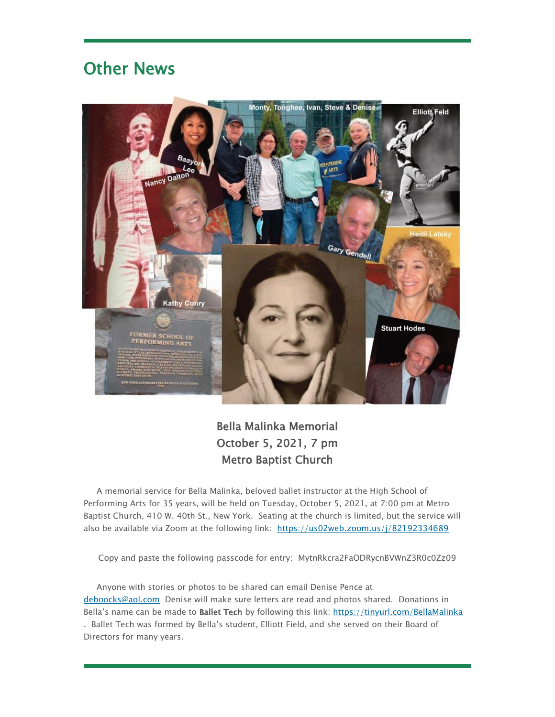## Other News



#### Bella Malinka Memorial October 5, 2021, 7 pm Metro Baptist Church

A memorial service for Bella Malinka, beloved ballet instructor at the High School of Performing Arts for 35 years, will be held on Tuesday, October 5, 2021, at 7:00 pm at Metro Baptist Church, 410 W. 40th St., New York. Seating at the church is limited, but the service will also be available via Zoom at the following link: [https://us02web.zoom.us/j/82192334689](http://em.networkforgood.com/ls/click?upn=VAGGw4zHikj3d-2F5242H3ZlyLLl0TwqiBSZfk5Vo-2BVCc5SytB8Yk-2BoUX-2F1m7TXTdFYzNv_mVgFLr7YN-2FKDVqGhILtkQY9fXF2OyRftV4uiTXV7NCFmx397hqVIaghoWdDojcNgBkJaEYH7jL7XGr3-2B1pUQa7z-2FJPWO36JAqHgg0xrSQzUixbllTb5Y3AjHOCE-2Ftc5jAWIGNT9zBq0KmHQALlc-2FsM6jMnQnZj3xS2ZEsKTj-2FLbNWAbzhokMFXb4psd8JjrsMyqskNk5z49XUAC8Ea-2BOn2FKm0Y2lKafm17O4unNNDal5hp7-2FMXr20Y625lJI5YmVblG7H1h03TubHHZqgMl9uS-2FhdL0Z11PVFCrXIf-2FTtO96mD5aV9N8qn9LJTYyw3k-2BTCdLMYzLgf3Expe27sxthMsg5GQuBJBWnoU9MhLKUs-3D)

Copy and paste the following passcode for entry: MytnRkcra2FaODRycnBVWnZ3R0c0Zz09

Anyone with stories or photos to be shared can email Denise Pence at [deboocks@aol.com](mailto:deboocks@aol.com) Denise will make sure letters are read and photos shared. Donations in Bella's name can be made to Ballet Tech by following this link: [https://tinyurl.com/BellaMalinka](http://em.networkforgood.com/ls/click?upn=VAGGw4zHikj3d-2F5242H3ZuE7agNKxNeyQXIxLVi6AWnP3qTDsGyUM3MONCsiz7GR0C7E_mVgFLr7YN-2FKDVqGhILtkQY9fXF2OyRftV4uiTXV7NCFmx397hqVIaghoWdDojcNgBkJaEYH7jL7XGr3-2B1pUQa7z-2FJPWO36JAqHgg0xrSQzUixbllTb5Y3AjHOCE-2Ftc5jAWIGNT9zBq0KmHQALlc-2FsM6jMnQnZj3xS2ZEsKTj-2FLbsNJ5Yms2aTVeEHzEBqA5sFl3bVVWLTj20P8SVhZnNhMLYSaw8ACo6wndof7aeZoXtyZrhhXhcvf2AXDI8iUpewQRB9TuIkCdYK7qv9het-2FJ3aDGAa9o0RdhogbdG3hbFt3pk14kCU0TpWX5OZvvtnvLH8TBFX-2BUUjHH0qiJ5hMFVylOyQt-2FJop15iAjtOQ30-3D) . Ballet Tech was formed by Bella's student, Elliott Field, and she served on their Board of Directors for many years.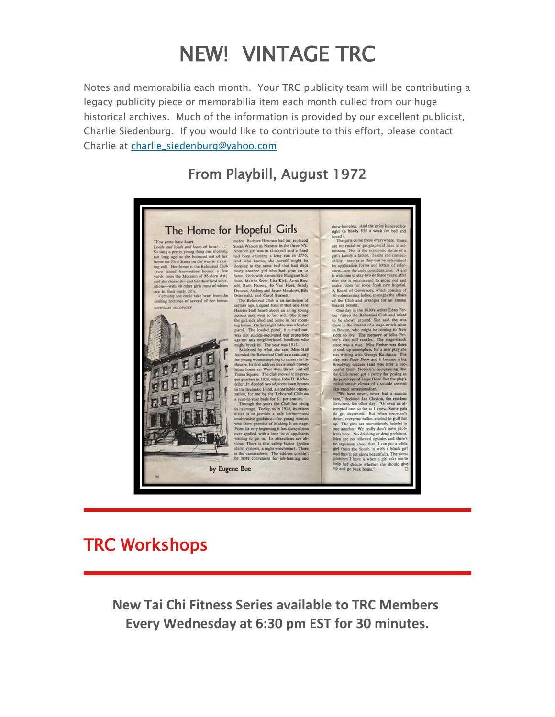## NEW! VINTAGE TRC

Notes and memorabilia each month. Your TRC publicity team will be contributing a legacy publicity piece or memorabilia item each month culled from our huge historical archives. Much of the information is provided by our excellent publicist, Charlie Siedenburg. If you would like to contribute to this effort, please contact Charlie at charlie siedenburg@yahoo.com

#### From Playbill, August 1972



### TRC Workshops

**New Tai Chi Fitness Series available to TRC Members Every Wednesday at 6:30 pm EST for 30 minutes.**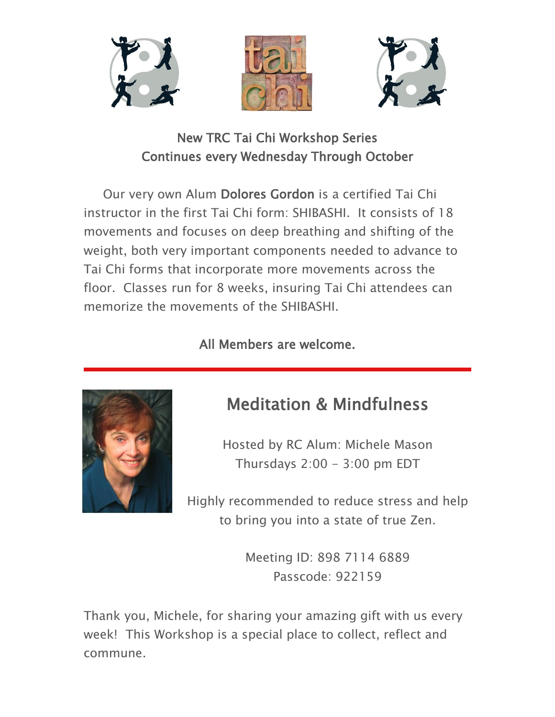





New TRC Tai Chi Workshop Series Continues every Wednesday Through October

Our very own Alum Dolores Gordon is a certified Tai Chi instructor in the first Tai Chi form: SHIBASHI. It consists of 18 movements and focuses on deep breathing and shifting of the weight, both very important components needed to advance to Tai Chi forms that incorporate more movements across the floor. Classes run for 8 weeks, insuring Tai Chi attendees can memorize the movements of the SHIBASHI.

#### All Members are welcome.



## Meditation & Mindfulness

Hosted by RC Alum: Michele Mason Thursdays  $2:00 - 3:00$  pm EDT

Highly recommended to reduce stress and help to bring you into a state of true Zen.

> Meeting ID: 898 7114 6889 Passcode: 922159

Thank you, Michele, for sharing your amazing gift with us every week! This Workshop is a special place to collect, reflect and commune.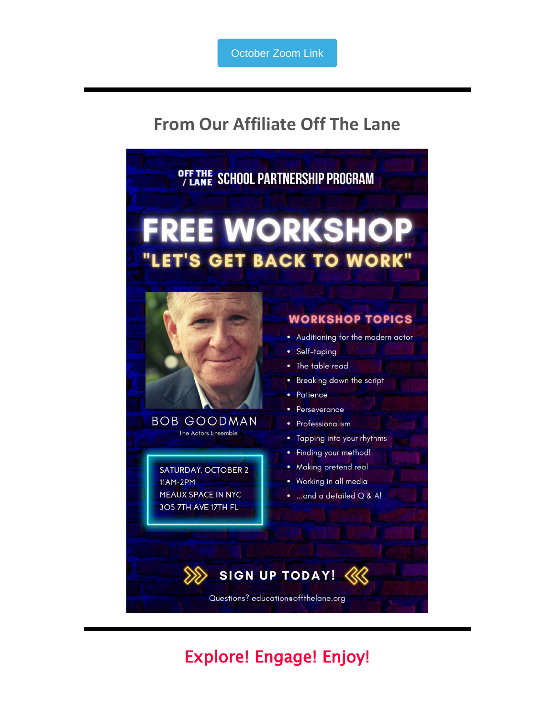## **From Our Affiliate Off The Lane**



## Explore! Engage! Enjoy!